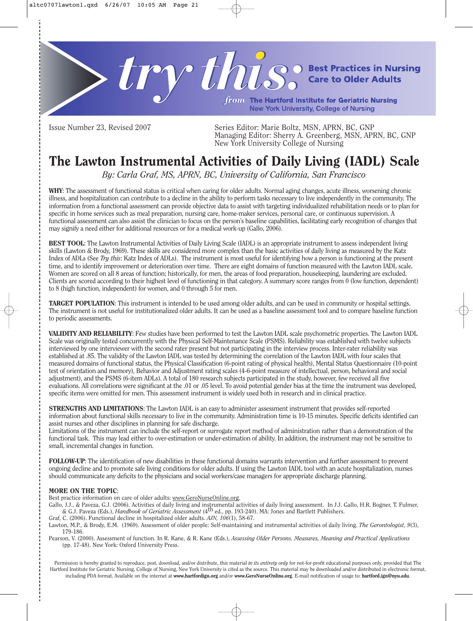

Issue Number 23, Revised 2007 Series Editor: Marie Boltz, MSN, APRN, BC, GNP Managing Editor: Sherry A. Greenberg, MSN, APRN, BC, GNP New York University College of Nursing

# **The Lawton Instrumental Activities of Daily Living (IADL) Scale**

*By: Carla Graf, MS, APRN, BC, University of California, San Francisco*

**WHY**: The assessment of functional status is critical when caring for older adults. Normal aging changes, acute illness, worsening chronic illness, and hospitalization can contribute to a decline in the ability to perform tasks necessary to live independently in the community. The information from a functional assessment can provide objective data to assist with targeting individualized rehabilitation needs or to plan for specific in home services such as meal preparation, nursing care, home-maker services, personal care, or continuous supervision. A functional assessment can also assist the clinician to focus on the person's baseline capabilities, facilitating early recognition of changes that may signify a need either for additional resources or for a medical work-up (Gallo, 2006).

**BEST TOOL**: The Lawton Instrumental Activities of Daily Living Scale (IADL) is an appropriate instrument to assess independent living skills (Lawton & Brody, 1969). These skills are considered more complex than the basic activities of daily living as measured by the Katz Index of ADLs (See *Try this*: Katz Index of ADLs). The instrument is most useful for identifying how a person is functioning at the present time, and to identify improvement or deterioration over time. There are eight domains of function measured with the Lawton IADL scale. Women are scored on all 8 areas of function; historically, for men, the areas of food preparation, housekeeping, laundering are excluded. Clients are scored according to their highest level of functioning in that category. A summary score ranges from 0 (low function, dependent) to 8 (high function, independent) for women, and 0 through 5 for men.

**TARGET POPULATION**: This instrument is intended to be used among older adults, and can be used in community or hospital settings. The instrument is not useful for institutionalized older adults. It can be used as a baseline assessment tool and to compare baseline function to periodic assessments.

**VALIDITY AND RELIABILITY**: Few studies have been performed to test the Lawton IADL scale psychometric properties. The Lawton IADL Scale was originally tested concurrently with the Physical Self-Maintenance Scale (PSMS). Reliability was established with twelve subjects interviewed by one interviewer with the second rater present but not participating in the interview process. Inter-rater reliability was established at .85. The validity of the Lawton IADL was tested by determining the correlation of the Lawton IADL with four scales that measured domains of functional status, the Physical Classification (6-point rating of physical health), Mental Status Questionnaire (10-point test of orientation and memory), Behavior and Adjustment rating scales (4-6-point measure of intellectual, person, behavioral and social adjustment), and the PSMS (6-item ADLs). A total of 180 research subjects participated in the study, however, few received all five evaluations. All correlations were significant at the .01 or .05 level. To avoid potential gender bias at the time the instrument was developed, specific items were omitted for men. This assessment instrument is widely used both in research and in clinical practice.

**STRENGTHS AND LIMITATIONS**: The Lawton IADL is an easy to administer assessment instrument that provides self-reported information about functional skills necessary to live in the community. Administration time is 10-15 minutes. Specific deficits identified can assist nurses and other disciplines in planning for safe discharge.

Limitations of the instrument can include the self-report or surrogate report method of administration rather than a demonstration of the functional task. This may lead either to over-estimation or under-estimation of ability. In addition, the instrument may not be sensitive to small, incremental changes in function.

**FOLLOW-UP**: The identification of new disabilities in these functional domains warrants intervention and further assessment to prevent ongoing decline and to promote safe living conditions for older adults. If using the Lawton IADL tool with an acute hospitalization, nurses should communicate any deficits to the physicians and social workers/case managers for appropriate discharge planning.

#### **MORE ON THE TOPIC**:

Best practice information on care of older adults: www.GeroNurseOnline.org.

- Gallo, J.J., & Paveza, G.J. (2006). Activities of daily living and instrumental activities of daily living assessment. In J.J. Gallo, H.R. Bogner, T. Fulmer, & G.J. Paveza, (Eds.), *Handbook of Geriatric Assessment* (4<sup>th</sup>
- Graf, C. (2006). Functional decline in hospitalized older adults. *AJN, 106*(1), 58-67.
- Lawton, M.P., & Brody, E.M. (1969). Assessment of older people: Self-maintaining and instrumental activities of daily living. *The Gerontologist, 9*(3), 179-186.
- Pearson, V. (2000). Assessment of function. In R. Kane, & R. Kane (Eds.), *Assessing Older Persons. Measures, Meaning and Practical Applications* (pp. 17-48). New York: Oxford University Press.

Permission is hereby granted to reproduce, post, download, and/or distribute, this material *in its entirety only* for not-for-profit educational purposes only, provided that The Hartford Institute for Geriatric Nursing, College of Nursing, New York University is cited as the source. This material may be downloaded and/or distributed in electronic format, including PDA format. Available on the internet at **www.hartfordign.org** and/or **www.GeroNurseOnline.org**. E-mail notification of usage to: **hartford.ign@nyu.edu**.